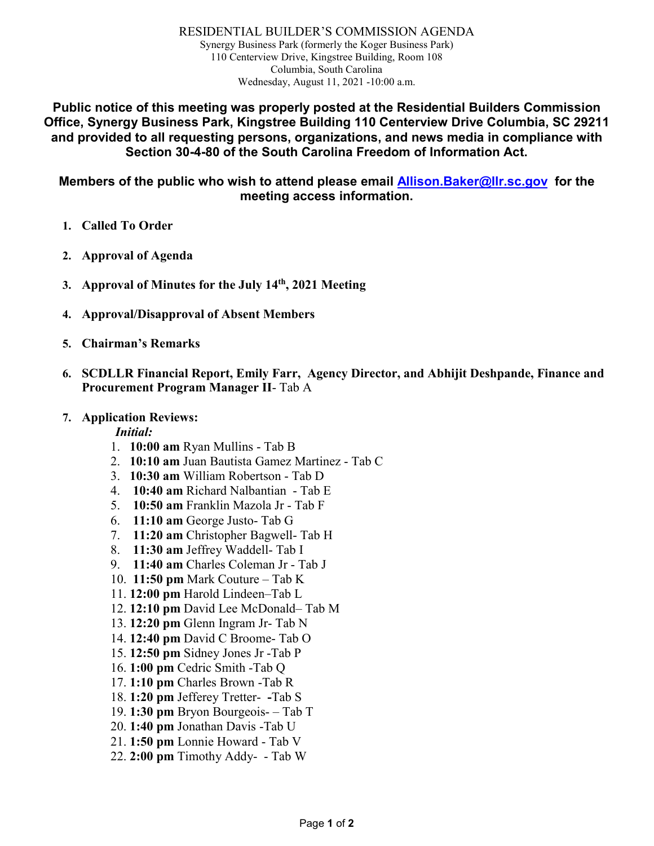RESIDENTIAL BUILDER'S COMMISSION AGENDA Synergy Business Park (formerly the Koger Business Park) 110 Centerview Drive, Kingstree Building, Room 108 Columbia, South Carolina Wednesday, August 11, 2021 -10:00 a.m.

**Public notice of this meeting was properly posted at the Residential Builders Commission Office, Synergy Business Park, Kingstree Building 110 Centerview Drive Columbia, SC 29211 and provided to all requesting persons, organizations, and news media in compliance with Section 30-4-80 of the South Carolina Freedom of Information Act.**

**Members of the public who wish to attend please email [Allison.Baker@llr.sc.gov](mailto:Allison.Baker@llr.sc.gov) for the meeting access information.**

- **1. Called To Order**
- **2. Approval of Agenda**
- **3. Approval of Minutes for the July 14th, 2021 Meeting**
- **4. Approval/Disapproval of Absent Members**
- **5. Chairman's Remarks**
- **6. SCDLLR Financial Report, Emily Farr, Agency Director, and Abhijit Deshpande, Finance and Procurement Program Manager II**- Tab A

#### **7. Application Reviews:**

#### *Initial:*

- 1. **10:00 am** Ryan Mullins Tab B
- 2. **10:10 am** Juan Bautista Gamez Martinez Tab C
- 3. **10:30 am** William Robertson Tab D
- 4. **10:40 am** Richard Nalbantian Tab E
- 5. **10:50 am** Franklin Mazola Jr Tab F
- 6. **11:10 am** George Justo- Tab G
- 7. **11:20 am** Christopher Bagwell- Tab H
- 8. **11:30 am** Jeffrey Waddell- Tab I
- 9. **11:40 am** Charles Coleman Jr Tab J
- 10. **11:50 pm** Mark Couture Tab K
- 11. **12:00 pm** Harold Lindeen–Tab L
- 12. **12:10 pm** David Lee McDonald– Tab M
- 13. **12:20 pm** Glenn Ingram Jr- Tab N
- 14. **12:40 pm** David C Broome- Tab O
- 15. **12:50 pm** Sidney Jones Jr -Tab P
- 16. **1:00 pm** Cedric Smith -Tab Q
- 17. **1:10 pm** Charles Brown -Tab R
- 18. **1:20 pm** Jefferey Tretter- **-**Tab S
- 19. **1:30 pm** Bryon Bourgeois- Tab T
- 20. **1:40 pm** Jonathan Davis -Tab U
- 21. **1:50 pm** Lonnie Howard Tab V
- 22. **2:00 pm** Timothy Addy- Tab W